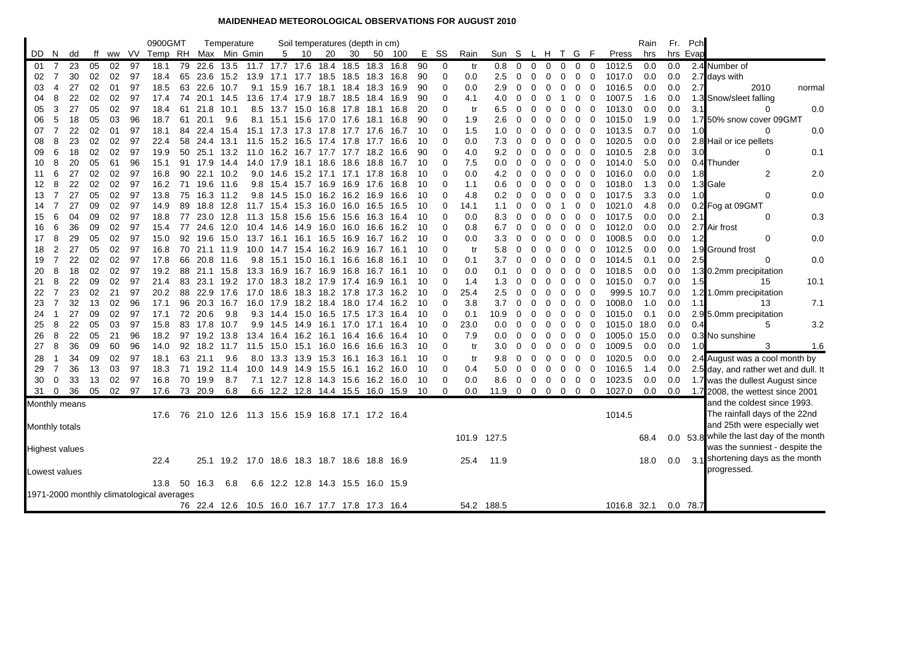## **MAIDENHEAD METEOROLOGICAL OBSERVATIONS FOR AUGUST 2010**

|                                                    |                |                       |          |          |          | 0900GMT                                   |          |              | Temperature  |                                                 |                                   |           |                | Soil temperatures (depth in cm) |              |       |          |               |             |            |                |                |                         |                |                |                              |                  | Rain       | Fr.        | Pch      |                                          |
|----------------------------------------------------|----------------|-----------------------|----------|----------|----------|-------------------------------------------|----------|--------------|--------------|-------------------------------------------------|-----------------------------------|-----------|----------------|---------------------------------|--------------|-------|----------|---------------|-------------|------------|----------------|----------------|-------------------------|----------------|----------------|------------------------------|------------------|------------|------------|----------|------------------------------------------|
| DD.                                                | - N            | dd                    | ff       |          | ww VV    | Temp RH                                   |          |              | Max Min Gmin |                                                 | 5                                 | - 10      | 20             | 30                              | 50           | - 100 |          | E SS          | Rain        | Sun S      |                | L H            |                         | T G F          |                |                              | Press            | hrs        |            | hrs Evap |                                          |
| 01                                                 | 7              | 23                    | 05       | 02       | 97       | 18.1                                      | 79       | 22.6         | 13.5         | 11.7 17.7 17.6 18.4                             |                                   |           |                | 18.5                            | 18.3         | 16.8  | 90       | 0             | tr          | 0.8        | $\Omega$       | $\Omega$       | $\Omega$                | $\mathbf{0}$   | $0\quad 0$     |                              | 1012.5           | 0.0        | 0.0        |          | 2.4 Number of                            |
| 02                                                 | $\overline{7}$ | 30                    | 02       | 02       | 97       | 18.4                                      | 65       | 23.6         | 15.2         | 13.9 17.1                                       |                                   | 17.7 18.5 |                | 18.5 18.3                       |              | 16.8  | 90       | 0             | 0.0         | 2.5        | 0              | 0              | 0                       | 0              | 0              | $\mathbf 0$                  | 1017.0           | 0.0        | 0.0        |          | 2.7 days with                            |
| 03                                                 | 4              | 27                    | 02       | 01       | 97       | 18.5                                      | 63       | 22.6         | 10.7         |                                                 | 9.1 15.9                          |           |                | 16.7 18.1 18.4 18.3             |              | 16.9  | 90       | 0             | 0.0         | 2.9        | 0              | 0              | 0                       | 0              | 0              | $\mathbf 0$                  | 1016.5           | 0.0        | 0.0        | 2.7      | 2010<br>normal                           |
| 04                                                 | 8              | 22                    | 02       | 02       | 97       | 17.4                                      | 74       | 20.1         | 14.5         |                                                 | 13.6 17.4 17.9 18.7               |           |                | 18.5 18.4                       |              | 16.9  | 90       | 0             | 4.1         | 4.0        | 0              | 0              | 0                       | -1             | 0              | 0                            | 1007.5           | 1.6        | 0.0        |          | 1.3 Snow/sleet falling                   |
| 05                                                 | 3              | 27                    | 05       | 02       | 97       | 18.4                                      | 61       | 21.8         | 10.1         |                                                 | 8.5 13.7 15.0 16.8                |           |                | 17.8                            | 18.1         | 16.8  | 20       | 0             | tr          | 6.5        | 0              | 0              | 0                       | 0              | 0              | $\mathbf 0$                  | 1013.0           | 0.0        | 0.0        | 3.1      | 0.0<br>0                                 |
| 06                                                 | 5              | 18                    | 05       | 03       | 96       | 18.7                                      | 61       | 20.1         | 9.6          |                                                 | 8.1 15.1 15.6 17.0 17.6 18.1      |           |                |                                 |              | 16.8  | 90       | $\Omega$      | 1.9         | 2.6        | 0              | 0              | $\Omega$                | 0              | $\mathbf 0$    | 0                            | 1015.0           | 1.9        | 0.0        |          | 1.7 50% snow cover 09GMT                 |
| 07                                                 | $\overline{7}$ | 22                    | 02       | 01       | 97       | 18.1                                      | 84       | 22.4         | 15.4         |                                                 | 15.1 17.3 17.3 17.8               |           |                | 17.7 17.6                       |              | 16.7  | 10       | 0             | 1.5         | 1.0        | $\Omega$       | 0              | 0                       | 0              | 0              | $\overline{\mathbf{0}}$      | 1013.5           | 0.7        | 0.0        | 1.0      | 0.0<br>0                                 |
| 08                                                 | 8              | 23                    | 02       | 02       | 97       | 22.4                                      | 58       | 24.4         | 13.1         |                                                 | 11.5 15.2 16.5 17.4               |           |                | 17.8                            | 17.7         | 16.6  | 10       | 0             | 0.0         | 7.3        | 0              | $\Omega$       | 0                       | $\Omega$       | 0              | 0                            | 1020.5           | 0.0        | 0.0        |          | 2.8 Hail or ice pellets                  |
| 09                                                 | 6              | 18                    | 02       | 02       | 97       | 19.9                                      | 50       | 25.1         | 13.2         |                                                 | 11.0 16.2 16.7 17.7 17.7 18.2     |           |                |                                 |              | 16.6  | 90       | 0             | 4.0         | 9.2        | 0              | 0              | 0                       | 0              | 0              | 0                            | 1010.5           | 2.8        | 0.0        | 3.0      | 0.1<br>$\Omega$                          |
| 10                                                 | 8              | 20                    | 05       | 61       | 96       | 15.1                                      | 91       | 17.9         | 14.4         | 14.0 17.9                                       |                                   | 18.1 18.6 |                | 18.6 18.8                       |              | 16.7  | 10       | 0             | 7.5         | 0.0        | 0              | 0              | 0                       | 0              | 0              | 0                            | 1014.0           | 5.0        | 0.0        |          | 0.4 Thunder                              |
| 11                                                 | 6              | 27                    | 02       | 02       | 97       | 16.8                                      | 90       | 22.1         | 10.2         |                                                 | $9.0$ 14.6                        |           |                | 15.2 17.1 17.1 17.8             |              | 16.8  | 10       | 0             | 0.0         | 4.2        | $\Omega$       | $\Omega$       | 0                       | 0              | 0              | 0                            | 1016.0           | 0.0        | 0.0        | 1.8      | $\overline{2}$<br>2.0                    |
| 12                                                 | 8              | 22                    | 02       | 02       | 97       | 16.2                                      | 71       | 19.6         | 11.6         |                                                 | 9.8 15.4                          | 15.7 16.9 |                | 16.9 17.6                       |              | 16.8  | 10       | $\Omega$      | 1.1         | 0.6        | 0              | 0              | $\Omega$                | 0              | 0              | 0                            | 1018.0           | 1.3        | 0.0        |          | 1.3 Gale                                 |
| 13                                                 | 7<br>7         | 27<br>27              | 05       | 02<br>02 | 97       | 13.8                                      | 75       |              | 16.3 11.2    |                                                 | 9.8 14.5 15.0 16.2 16.2 16.9      |           |                |                                 |              | 16.6  | 10       | 0<br>$\Omega$ | 4.8         | 0.2        | 0              | 0              | 0                       | 0<br>-1        | 0              | $\overline{0}$               | 1017.5           | 3.3        | 0.0<br>0.0 | 1.0      | 0.0<br>0                                 |
| 14<br>15                                           | 6              | 04                    | 09<br>09 | 02       | 97<br>97 | 14.9<br>18.8                              | 89<br>77 | 18.8<br>23.0 | 12.8<br>12.8 | 11.3 15.8                                       | 11.7 15.4 15.3 16.0               |           |                | 16.0<br>15.6                    | 16.5<br>16.3 | 16.5  | 10<br>10 | 0             | 14.1<br>0.0 | 1.1<br>8.3 | 0              | $\Omega$       | $\Omega$                | $\mathbf 0$    | 0<br>0         | 0                            | 1021.0           | 4.8<br>0.0 | 0.0        | 2.1      | 0.2 Fog at 09GMT<br>$\mathbf 0$<br>0.3   |
|                                                    |                |                       |          |          |          |                                           |          |              |              |                                                 |                                   | 15.6 15.6 |                |                                 |              | 16.4  |          | 0             |             |            | 0              | 0              | 0                       |                |                | 0                            | 1017.5           |            |            |          |                                          |
| 16                                                 | 6<br>8         | 36<br>29              | 09       | 02<br>02 | 97       | 15.4                                      | 77<br>92 | 24.6<br>19.6 | 12.0         |                                                 | 10.4 14.6 14.9 16.0 16.0 16.6     |           |                |                                 |              | 16.2  | 10       | 0             | 0.8         | 6.7        | 0              | 0              | 0                       | 0              | $\mathbf 0$    | 0                            | 1012.0<br>1008.5 | 0.0<br>0.0 | 0.0<br>0.0 |          | 2.7 Air frost<br>0<br>0.0                |
| 17<br>18                                           | $\overline{2}$ | 27                    | 05<br>05 | 02       | 97<br>97 | 15.0<br>16.8                              | 70       | 21.1         | 15.0<br>11.9 | 13.7 16.1                                       | 10.0 14.7                         | 16.1 16.5 | 15.4 16.2 16.9 | 16.9 16.7 16.2                  | 16.7         | 16.1  | 10<br>10 | 0             | 0.0<br>tr   | 3.3<br>5.8 | 0<br>0         | 0<br>0         | 0<br>0                  | 0<br>0         | 0<br>0         | $\overline{\mathbf{0}}$<br>0 | 1012.5           | 0.0        | 0.0        | 1.2      | 1.9 Ground frost                         |
| 19                                                 | $\overline{7}$ | 22                    | 02       | 02       | 97       | 17.8                                      | 66       |              | 20.8 11.6    |                                                 | 9.8 15.1 15.0 16.1 16.6 16.8      |           |                |                                 |              | 16.1  | 10       | 0             | 0.1         | 3.7        | 0              | 0              | 0                       | 0              | $\overline{0}$ | $\mathbf 0$                  | 1014.5           | 0.1        | 0.0        | 2.5      | 0.0<br>$\mathbf 0$                       |
| 20                                                 | 8              | 18                    | 02       | 02       | 97       | 19.2                                      | 88       |              | 21.1 15.8    | 13.3 16.9                                       |                                   |           |                | 16.7 16.9 16.8 16.7 16.1        |              |       | 10       | 0             | 0.0         | 0.1        | 0              | 0              | 0                       | 0              | 0              | $\mathbf 0$                  | 1018.5           | 0.0        | 0.0        |          | 1.3 0.2mm precipitation                  |
| 21                                                 | 8              | 22                    | 09       | 02       | 97       | 21.4                                      | 83       | 23.1         | 19.2         |                                                 | 17.0 18.3 18.2 17.9               |           |                | 17.4                            | 16.9         | 16.1  | 10       | $\Omega$      | 1.4         | 1.3        | $\Omega$       | $\Omega$       | $\Omega$                | 0              | $0\quad 0$     |                              | 1015.0           | 0.7        | 0.0        | 1.5      | 10.1<br>15                               |
| 22                                                 | 7              | 23                    | 02       | 21       | 97       | 20.2                                      | 88       | 22.9         | 17.6         |                                                 | 17.0 18.6 18.3 18.2 17.8 17.3     |           |                |                                 |              | 16.2  | 10       | 0             | 25.4        | 2.5        | 0              | 0              | 0                       | 0              | $\mathbf{0}$   | 0                            | 999.5            | 10.7       | 0.0        |          | 1.2 1.0mm precipitation                  |
| 23                                                 | 7              | 32                    | 13       | 02       | 96       | 17.1                                      | 96       | 20.3         | 16.7         |                                                 | 16.0 17.9 18.2 18.4 18.0 17.4     |           |                |                                 |              | 16.2  | 10       | O             | 3.8         | 3.7        | 0              | 0              | 0                       | 0              | $\mathbf{0}$   | $\mathbf 0$                  | 1008.0           | 1.0        | 0.0        | 1.11     | 7.1<br>13                                |
| 24                                                 | -1             | 27                    | 09       | 02       | 97       | 17.1                                      | 72       | 20.6         | 9.8          | 9.3                                             | 14.4                              | 15.0 16.5 |                | 17.5 17.3                       |              | 16.4  | 10       | 0             | 0.1         | 10.9       | $\Omega$       | $\Omega$       | 0                       | 0              | $\mathbf{0}$   | 0                            | 1015.0           | 0.1        | 0.0        |          | 2.9 5.0mm precipitation                  |
| 25                                                 | 8              | 22                    | 05       | 03       | 97       | 15.8                                      | 83       | 17.8         | 10.7         |                                                 | 9.9 14.5                          |           |                | 14.9 16.1 17.0 17.1             |              | 16.4  | 10       | $\Omega$      | 23.0        | 0.0        | 0              | 0              | 0                       | 0              | 0              | $\mathbf 0$                  | 1015.0           | 18.0       | 0.0        | 0.4      | 3.2<br>5                                 |
| 26                                                 | 8              | 22                    | 05       | 21       | 96       | 18.2                                      |          | 97 19.2 13.8 |              |                                                 | 13.4 16.4 16.2 16.1 16.4 16.6     |           |                |                                 |              | 16.4  | 10       | 0             | 7.9         | 0.0        | 0              | 0              | 0                       | 0              | $0\quad 0$     |                              | 1005.0           | 15.0       | 0.0        |          | 0.3 No sunshine                          |
| 27                                                 | 8              | 36                    | 09       | 60       | 96       | 14.0                                      | 92       | 18.2         | 11.7         |                                                 | 11.5 15.0 15.1 16.0 16.6 16.6     |           |                |                                 |              | 16.3  | 10       | $\Omega$      | tr          | 3.0        | 0              | 0              | 0                       | 0              | $0\quad 0$     |                              | 1009.5           | 0.0        | 0.0        | 1.0      | 3<br>1.6                                 |
| 28                                                 | -1             | 34                    | 09       | 02       | 97       | 18.1                                      | 63       | 21.1         | 9.6          |                                                 | 8.0 13.3                          | 13.9 15.3 |                | 16.1                            | 16.3         | 16.1  | 10       | $\Omega$      | tr          | 9.8        | $\Omega$       | 0              | $\Omega$                | 0              | $\mathbf{0}$   | 0                            | 1020.5           | 0.0        | 0.0        |          | 2.4 August was a cool month by           |
| 29                                                 | $\overline{7}$ | 36                    | 13       | 03       | 97       | 18.3                                      | 71       | 19.2         | 11.4         |                                                 | 10.0 14.9                         | 14.9 15.5 |                | 16.1                            | 16.2         | 16.0  | 10       | $\Omega$      | 0.4         | 5.0        | 0              | 0              | 0                       | 0              | 0              | 0                            | 1016.5           | 1.4        | 0.0        |          | 2.5 day, and rather wet and dull. It     |
| 30                                                 | $\Omega$       | 33                    | 13       | 02       | 97       | 16.8                                      | 70       | 19.9         | 8.7          |                                                 | 7.1 12.7 12.8 14.3 15.6 16.2 16.0 |           |                |                                 |              |       | 10       | 0             | 0.0         | 8.6        | 0              | 0              | 0                       | $\mathbf 0$    | $0\quad 0$     |                              | 1023.5           | 0.0        | 0.0        |          | 1.7 was the dullest August since         |
| 31                                                 | 0              | 36                    | 05       | 02       | 97       | 17.6                                      |          | 73 20.9      | 6.8          |                                                 | 6.6 12.2 12.8 14.4 15.5 16.0 15.9 |           |                |                                 |              |       | -10      | $\Omega$      | 0.0         | 11.9       | $\overline{0}$ | $\overline{0}$ | $\overline{\mathbf{0}}$ | $\overline{0}$ | $0\quad 0$     |                              | 1027.0           | 0.0        | 0.0        |          | 1.7 2008, the wettest since 2001         |
|                                                    |                | Monthly means         |          |          |          |                                           |          |              |              |                                                 |                                   |           |                |                                 |              |       |          |               |             |            |                |                |                         |                |                |                              |                  |            |            |          | and the coldest since 1993.              |
|                                                    |                |                       |          |          |          | 17.6                                      | 76       |              |              | 21.0 12.6 11.3 15.6 15.9 16.8 17.1 17.2 16.4    |                                   |           |                |                                 |              |       |          |               |             |            |                |                |                         |                |                |                              | 1014.5           |            |            |          | The rainfall days of the 22nd            |
|                                                    |                | Monthly totals        |          |          |          |                                           |          |              |              |                                                 |                                   |           |                |                                 |              |       |          |               |             |            |                |                |                         |                |                |                              |                  |            |            |          | and 25th were especially wet             |
|                                                    |                |                       |          |          |          |                                           |          |              |              |                                                 |                                   |           |                |                                 |              |       |          |               | 101.9 127.5 |            |                |                |                         |                |                |                              |                  | 68.4       |            |          | 0.0 53.8 while the last day of the month |
|                                                    |                |                       |          |          |          |                                           |          |              |              |                                                 |                                   |           |                |                                 |              |       |          |               |             |            |                |                |                         |                |                |                              |                  |            |            |          | was the sunniest - despite the           |
|                                                    |                | <b>Highest values</b> |          |          |          |                                           |          |              |              |                                                 |                                   |           |                |                                 |              |       |          |               |             |            |                |                |                         |                |                |                              |                  |            |            |          | 3.1 shortening days as the month         |
|                                                    |                |                       |          |          |          | 22.4                                      |          | 25.1         |              | 19.2 17.0 18.6 18.3 18.7 18.6 18.8 16.9         |                                   |           |                |                                 |              |       |          |               | 25.4        | 11.9       |                |                |                         |                |                |                              |                  | 18.0       | 0.0        |          | progressed.                              |
| Lowest values<br>6.6 12.2 12.8 14.3 15.5 16.0 15.9 |                |                       |          |          |          |                                           |          |              |              |                                                 |                                   |           |                |                                 |              |       |          |               |             |            |                |                |                         |                |                |                              |                  |            |            |          |                                          |
|                                                    |                |                       |          |          |          | 13.8                                      | 50       | 16.3         | 6.8          |                                                 |                                   |           |                |                                 |              |       |          |               |             |            |                |                |                         |                |                |                              |                  |            |            |          |                                          |
|                                                    |                |                       |          |          |          | 1971-2000 monthly climatological averages |          |              |              |                                                 |                                   |           |                |                                 |              |       |          |               |             |            |                |                |                         |                |                |                              |                  |            |            |          |                                          |
|                                                    |                |                       |          |          |          |                                           |          |              |              | 76 22.4 12.6 10.5 16.0 16.7 17.7 17.8 17.3 16.4 |                                   |           |                |                                 |              |       |          |               |             | 54.2 188.5 |                |                |                         |                |                |                              | 1016.8 32.1      |            |            | 0.0 78.7 |                                          |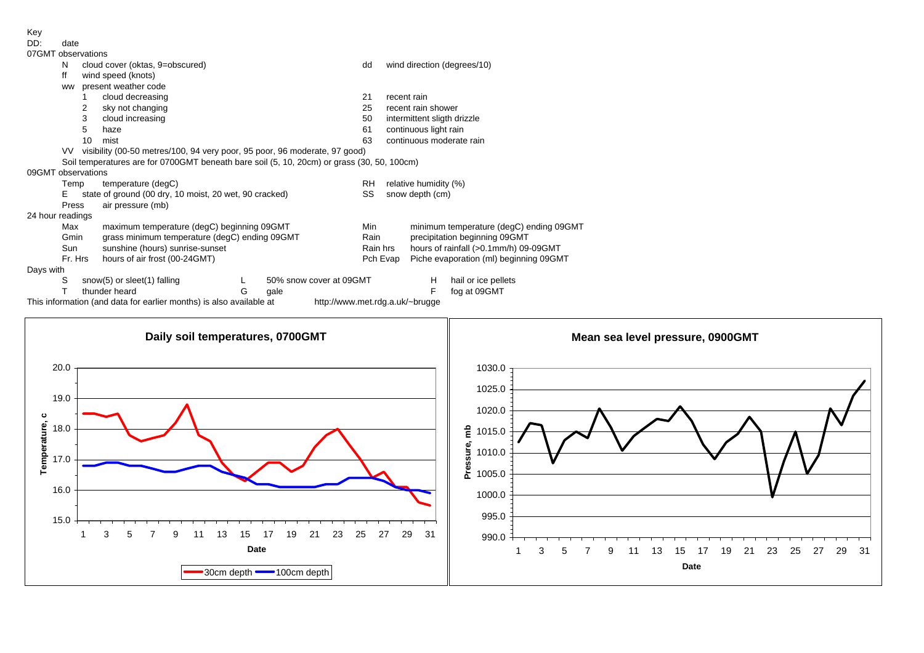Key<br>DD:

date

| 07GMT observations |           |                                 |                                                                                            |   |                         |                  |                          |                                        |                                         |  |  |  |  |
|--------------------|-----------|---------------------------------|--------------------------------------------------------------------------------------------|---|-------------------------|------------------|--------------------------|----------------------------------------|-----------------------------------------|--|--|--|--|
|                    | N         |                                 | cloud cover (oktas, 9=obscured)                                                            |   |                         | dd               |                          |                                        | wind direction (degrees/10)             |  |  |  |  |
|                    | ff        |                                 | wind speed (knots)                                                                         |   |                         |                  |                          |                                        |                                         |  |  |  |  |
|                    | <b>WW</b> |                                 | present weather code                                                                       |   |                         |                  |                          |                                        |                                         |  |  |  |  |
|                    |           | cloud decreasing                |                                                                                            |   |                         | 21               | recent rain              |                                        |                                         |  |  |  |  |
|                    |           | 2                               | sky not changing                                                                           |   |                         | 25               |                          | recent rain shower                     |                                         |  |  |  |  |
|                    |           | 3                               | cloud increasing                                                                           |   |                         | 50               |                          | intermittent sligth drizzle            |                                         |  |  |  |  |
|                    |           | 5                               | haze                                                                                       |   |                         | 61               |                          | continuous light rain                  |                                         |  |  |  |  |
|                    |           | 10                              | mist                                                                                       |   |                         | 63               | continuous moderate rain |                                        |                                         |  |  |  |  |
|                    | VV.       |                                 | visibility (00-50 metres/100, 94 very poor, 95 poor, 96 moderate, 97 good)                 |   |                         |                  |                          |                                        |                                         |  |  |  |  |
|                    |           |                                 | Soil temperatures are for 0700GMT beneath bare soil (5, 10, 20cm) or grass (30, 50, 100cm) |   |                         |                  |                          |                                        |                                         |  |  |  |  |
| 09GMT observations |           |                                 |                                                                                            |   |                         |                  |                          |                                        |                                         |  |  |  |  |
|                    | Temp      |                                 | temperature (degC)                                                                         |   |                         | RH               | relative humidity (%)    |                                        |                                         |  |  |  |  |
|                    | Е         |                                 | state of ground (00 dry, 10 moist, 20 wet, 90 cracked)                                     |   |                         | SS               | snow depth (cm)          |                                        |                                         |  |  |  |  |
|                    | Press     |                                 | air pressure (mb)                                                                          |   |                         |                  |                          |                                        |                                         |  |  |  |  |
| 24 hour readings   |           |                                 |                                                                                            |   |                         |                  |                          |                                        |                                         |  |  |  |  |
|                    | Max       |                                 | maximum temperature (degC) beginning 09GMT                                                 |   |                         | Min              |                          |                                        | minimum temperature (degC) ending 09GMT |  |  |  |  |
|                    | Gmin      |                                 | grass minimum temperature (degC) ending 09GMT                                              |   |                         | Rain<br>Rain hrs |                          |                                        | precipitation beginning 09GMT           |  |  |  |  |
|                    | Sun       | sunshine (hours) sunrise-sunset |                                                                                            |   |                         |                  |                          |                                        | hours of rainfall (>0.1mm/h) 09-09GMT   |  |  |  |  |
|                    | Fr. Hrs   | hours of air frost (00-24GMT)   |                                                                                            |   |                         |                  | Pch Evap                 | Piche evaporation (ml) beginning 09GMT |                                         |  |  |  |  |
| Days with          |           |                                 |                                                                                            |   |                         |                  |                          |                                        |                                         |  |  |  |  |
|                    | S         |                                 | snow(5) or sleet(1) falling                                                                |   | 50% snow cover at 09GMT |                  |                          | H.                                     | hail or ice pellets                     |  |  |  |  |
|                    |           |                                 | thunder heard                                                                              | G | gale                    |                  |                          | F                                      | fog at 09GMT                            |  |  |  |  |
|                    |           |                                 | This information (and data for earlier months) is also available at                        |   |                         |                  |                          | http://www.met.rdg.a.uk/~brugge        |                                         |  |  |  |  |